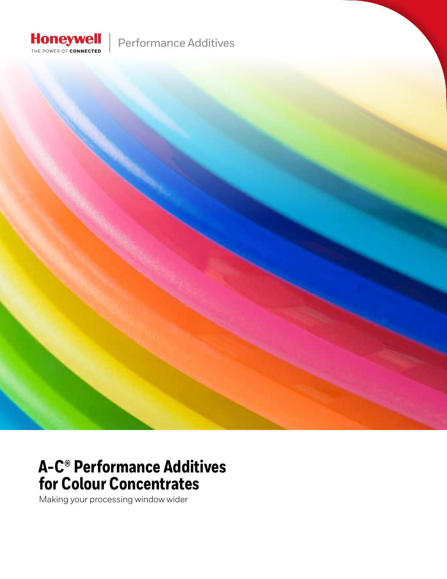

Performance Additives

### **A-C® Performance Additives for Colour Concentrates**

Making your processing window wider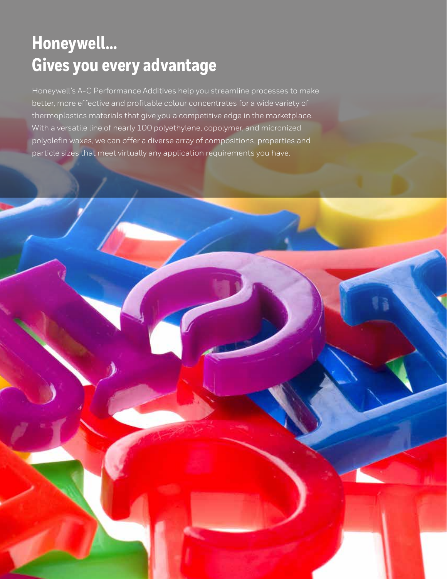## **Honeywell... Gives you every advantage**

Honeywell's A-C Performance Additives help you streamline processes to make better, more effective and profitable colour concentrates for a wide variety of thermoplastics materials that give you a competitive edge in the marketplace. With a versatile line of nearly 100 polyethylene, copolymer, and micronized polyolefin waxes, we can offer a diverse array of compositions, properties and particle sizes that meet virtually any application requirements you have.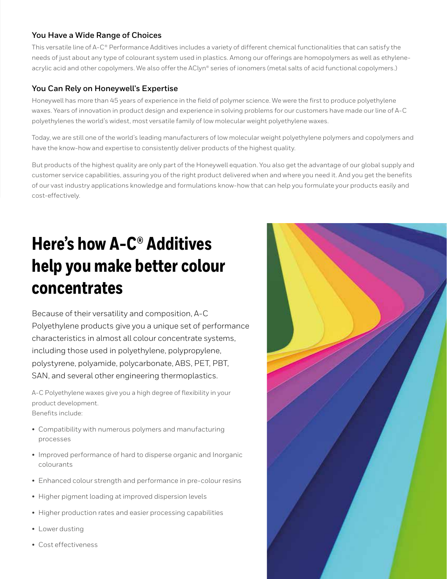#### **You Have a Wide Range of Choices**

This versatile line of A-C® Performance Additives includes a variety of different chemical functionalities that can satisfy the needs of just about any type of colourant system used in plastics. Among our offerings are homopolymers as well as ethyleneacrylic acid and other copolymers. We also offer the AClyn® series of ionomers (metal salts of acid functional copolymers.)

#### **You Can Rely on Honeywell's Expertise**

Honeywell has more than 45 years of experience in the field of polymer science. We were the first to produce polyethylene waxes. Years of innovation in product design and experience in solving problems for our customers have made our line of A-C polyethylenes the world's widest, most versatile family of low molecular weight polyethylene waxes.

Today, we are still one of the world's leading manufacturers of low molecular weight polyethylene polymers and copolymers and have the know-how and expertise to consistently deliver products of the highest quality.

But products of the highest quality are only part of the Honeywell equation. You also get the advantage of our global supply and customer service capabilities, assuring you of the right product delivered when and where you need it. And you get the benefits of our vast industry applications knowledge and formulations know-how that can help you formulate your products easily and cost-effectively.

# **Here's how A-C® Additives help you make better colour concentrates**

Because of their versatility and composition, A-C Polyethylene products give you a unique set of performance characteristics in almost all colour concentrate systems, including those used in polyethylene, polypropylene, polystyrene, polyamide, polycarbonate, ABS, PET, PBT, SAN, and several other engineering thermoplastics.

A-C Polyethylene waxes give you a high degree of flexibility in your product development. Benefits include:

- 
- Compatibility with numerous polymers and manufacturing processes
- Improved performance of hard to disperse organic and Inorganic colourants
- Enhanced colour strength and performance in pre-colour resins
- Higher pigment loading at improved dispersion levels
- Higher production rates and easier processing capabilities
- Lower dusting
- Cost effectiveness

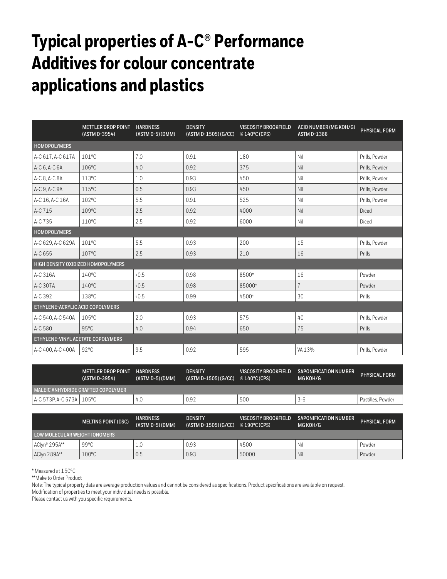# **Typical properties of A-C® Performance Additives for colour concentrate applications and plastics**

|                                   | <b>METTLER DROP POINT</b><br>(ASTM D-3954) | <b>HARDNESS</b><br>(ASTM 0-5) (DMM) | <b>DENSITY</b><br>(ASTM D. 1505) (G/CC) | <b>VISCOSITY BROOKFIELD</b><br>@ 140°C (CPS) | <b>ACID NUMBER (MG KOH/G)</b><br><b>ASTM D-1386</b> | PHYSICAL FORM  |  |  |
|-----------------------------------|--------------------------------------------|-------------------------------------|-----------------------------------------|----------------------------------------------|-----------------------------------------------------|----------------|--|--|
| <b>HOMOPOLYMERS</b>               |                                            |                                     |                                         |                                              |                                                     |                |  |  |
| A-C 617. A-C 617A                 | 101°C                                      | 7.0                                 | 0.91                                    | 180                                          | Nil                                                 | Prills. Powder |  |  |
| A-C 6, A-C 6A                     | 106°C                                      | 4.0                                 | 0.92                                    | 375                                          | Nil                                                 | Prills, Powder |  |  |
| A-C 8, A-C 8A                     | 113°C                                      | 1.0                                 | 0.93                                    | 450                                          | Nil                                                 | Prills, Powder |  |  |
| A-C 9, A-C 9A                     | $115^{\circ}$ C                            | 0.5                                 | 0.93                                    | 450                                          | Nil                                                 | Prills, Powder |  |  |
| A-C 16, A-C 16A                   | 102°C                                      | 5.5                                 | 0.91                                    | 525                                          | Nil                                                 | Prills, Powder |  |  |
| A-C 715                           | 109°C                                      | 2.5                                 | 0.92                                    | 4000                                         | Nil                                                 | Diced          |  |  |
| A-C 735                           | $110^{\circ}$ C                            | 2.5                                 | 0.92                                    | 6000                                         | Nil                                                 | Diced          |  |  |
| <b>HOMOPOLYMERS</b>               |                                            |                                     |                                         |                                              |                                                     |                |  |  |
| A-C 629, A-C 629A                 | $101^{\circ}$ C                            | 5.5                                 | 0.93                                    | 200                                          | 15                                                  | Prills, Powder |  |  |
| A-C 655                           | $107^{\circ}$ C                            | 2.5                                 | 0.93                                    | 210                                          | 16                                                  | Prills         |  |  |
|                                   | HIGH DENSITY OXIDIZED HOMOPOLYMERS         |                                     |                                         |                                              |                                                     |                |  |  |
| A-C 316A                          | $140^{\circ}$ C                            | 0.5                                 | 0.98                                    | 8500*                                        | 16                                                  | Powder         |  |  |
| A-C 307A                          | $140^{\circ}$ C                            | 0.5                                 | 0.98                                    | 85000*                                       | $\overline{7}$                                      | Powder         |  |  |
| A-C 392                           | 138°C                                      | 0.5                                 | 0.99                                    | 4500*                                        | 30                                                  | Prills         |  |  |
| ETHYLENE-ACRYLIC ACID COPOLYMERS  |                                            |                                     |                                         |                                              |                                                     |                |  |  |
| A-C 540, A-C 540A                 | $105^{\circ}$ C                            | 2.0                                 | 0.93                                    | 575                                          | 40                                                  | Prills, Powder |  |  |
| A-C 580                           | $95^{\circ}$ C                             | 4.0                                 | 0.94                                    | 650                                          | 75                                                  | Prills         |  |  |
| ETHYLENE-VINYL ACETATE COPOLYMERS |                                            |                                     |                                         |                                              |                                                     |                |  |  |
| A-C 400, A-C 400A                 | $92^{\circ}$ C                             | 9.5                                 | 0.92                                    | 595                                          | VA 13%                                              | Prills. Powder |  |  |

|                             | <b>METTLER DROP POINT</b><br>(ASTM D-3954) | <b>HARDNESS</b><br>(ASTM D-5)(DMM) | <b>DENSITY</b><br>(ASTM D-1505)(G/CC) | VISCOSITY BROOKFIELD<br>te 140°C (CPS) | <b>SAPONIFICATION NUMBER</b><br>MG KOH/G | PHYSICAL FORM     |
|-----------------------------|--------------------------------------------|------------------------------------|---------------------------------------|----------------------------------------|------------------------------------------|-------------------|
|                             | MALEIC ANHYDRIDE GRAFTED COPOLYMER         |                                    |                                       |                                        |                                          |                   |
| l A-C 573P.A-C 573A   105°C |                                            | 4                                  | 0.92                                  | 500                                    | 3-6                                      | Pastilles, Powder |

|                               | <b>MELTING POINT (DSC)</b> | <b>HARDNESS</b><br>(ASTM D-5) (DMM) | <b>DENSITY</b><br>(ASTM D-1505) (G/CC) | VISCOSITY BROOKFIELD<br>@ 190°C (CPS) | <b>SAPONIFICATION NUMBER</b><br>MG KOH/G | <b>PHYSICAL FORM</b> |
|-------------------------------|----------------------------|-------------------------------------|----------------------------------------|---------------------------------------|------------------------------------------|----------------------|
| LOW MOLECULAR WEIGHT IONOMERS |                            |                                     |                                        |                                       |                                          |                      |
| AClyn® 295A**                 | $99^{\circ}$ C             |                                     | 0.93                                   | 4500                                  | Nil                                      | Powder               |
| AClyn 289A**                  | 100°C                      | 0.5                                 | 0.93                                   | 50000                                 | <b>Nil</b>                               | Powder               |

\* Measured at 150ºC

\*\*Make to Order Product

Note: The typical property data are average production values and cannot be considered as specifications. Product specifications are available on request.

Modification of properties to meet your individual needs is possible.

Please contact us with you specific requirements.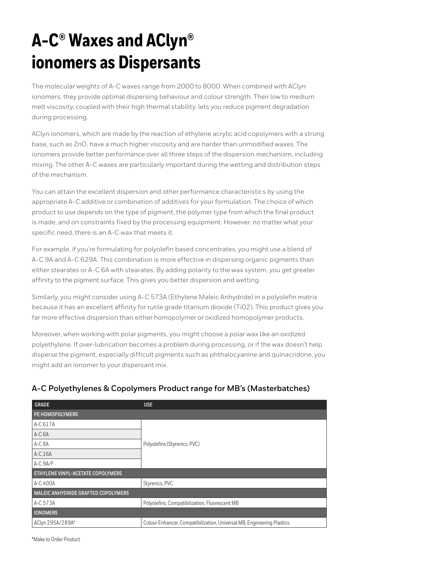# **A-C® Waxes and AClyn® ionomers as Dispersants**

The molecular weights of A-C waxes range from 2000 to 8000. When combined with AClyn ionomers, they provide optimal dispersing behaviour and colour strength. Their low to medium melt viscosity, coupled with their high thermal stability, lets you reduce pigment degradation during processing.

AClyn ionomers, which are made by the reaction of ethylene acrylic acid copolymers with a strong base, such as ZnO, have a much higher viscosity and are harder than unmodified waxes. The ionomers provide better performance over all three steps of the dispersion mechanism, including mixing. The other A-C waxes are particularly important during the wetting and distribution steps of the mechanism.

You can attain the excellent dispersion and other performance characteristics by using the appropriate A-C additive or combination of additives for your formulation. The choice of which product to use depends on the type of pigment, the polymer type from which the final product is made, and on constraints fixed by the processing equipment. However, no matter what your specific need, there is an A-C wax that meets it.

For example, if you're formulating for polyolefin based concentrates, you might use a blend of A-C 9A and A-C 629A. This combination is more effective in dispersing organic pigments than either stearates or A-C 6A with stearates. By adding polarity to the wax system, you get greater affinity to the pigment surface. This gives you better dispersion and wetting.

Similarly, you might consider using A-C 573A (Ethylene Maleic Anhydride) in a polyolefin matrix because it has an excellent affinity for rutile grade titanium dioxide (Ti02). This product gives you far more effective dispersion than either homopolymer or oxidized homopolymer products.

Moreover, when working with polar pigments, you might choose a polar wax like an oxidized polyethylene. If over-lubrication becomes a problem during processing, or if the wax doesn't help disperse the pigment, especially difficult pigments such as phthalocyanine and quinacridone, you might add an ionomer to your dispersant mix.

| <b>GRADE</b>                        | <b>USE</b>                                                             |  |  |  |  |
|-------------------------------------|------------------------------------------------------------------------|--|--|--|--|
| PE HOMOPOLYMERS                     |                                                                        |  |  |  |  |
| A-C 617A                            |                                                                        |  |  |  |  |
| $A-C6A$                             |                                                                        |  |  |  |  |
| A-C 8A                              | Polyolefins (Styrenics, PVC)                                           |  |  |  |  |
| A-C 16A                             |                                                                        |  |  |  |  |
| A-C 9A/F                            |                                                                        |  |  |  |  |
| ETHYLENE VINYL-ACETATE COPOLYMERS   |                                                                        |  |  |  |  |
| A-C 400A                            | Styrenics, PVC                                                         |  |  |  |  |
| MALEIC ANHYDRIDE GRAFTED COPOLYMERS |                                                                        |  |  |  |  |
| A-C 573A                            | Polyolefins, Compatibilization, Fluorescent MB                         |  |  |  |  |
| <b>IONOMERS</b>                     |                                                                        |  |  |  |  |
| AClyn 295A/289A*                    | Colour Enhancer, Compatibilization, Universal MB, Engineering Plastics |  |  |  |  |

#### **A-C Polyethylenes & Copolymers Product range for MB's (Masterbatches)**

\*Make to Order Product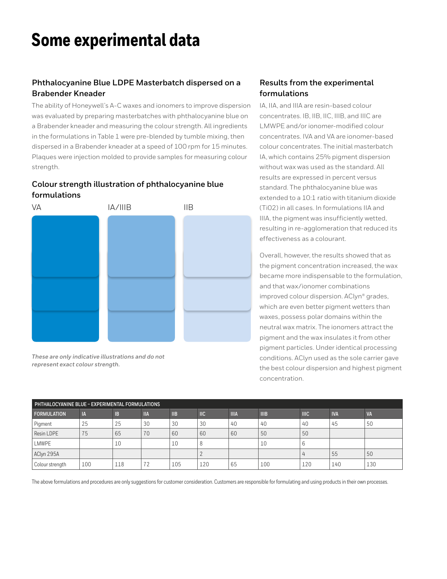### **Some experimental data**

#### **Phthalocyanine Blue LDPE Masterbatch dispersed on a Brabender Kneader**

The ability of Honeywell's A-C waxes and ionomers to improve dispersion was evaluated by preparing masterbatches with phthalocyanine blue on a Brabender kneader and measuring the colour strength. All ingredients in the formulations in Table 1 were pre-blended by tumble mixing, then dispersed in a Brabender kneader at a speed of 100 rpm for 15 minutes. Plaques were injection molded to provide samples for measuring colour strength.

#### **Colour strength illustration of phthalocyanine blue formulations**



*These are only indicative illustrations and do not represent exact colour strength.*

#### **Results from the experimental formulations**

IA, IIA, and IIIA are resin-based colour concentrates. IB, IIB, IIC, IIIB, and IIIC are LMWPE and/or ionomer-modified colour concentrates. IVA and VA are ionomer-based colour concentrates. The initial masterbatch IA, which contains 25% pigment dispersion without wax was used as the standard. All results are expressed in percent versus standard. The phthalocyanine blue was extended to a 10:1 ratio with titanium dioxide (Ti02) in all cases. In formulations IIA and IIIA, the pigment was insufficiently wetted, resulting in re-agglomeration that reduced its effectiveness as a colourant.

Overall, however, the results showed that as the pigment concentration increased, the wax became more indispensable to the formulation, and that wax/ionomer combinations improved colour dispersion. AClyn® grades, which are even better pigment wetters than waxes, possess polar domains within the neutral wax matrix. The ionomers attract the pigment and the wax insulates it from other pigment particles. Under identical processing conditions. AClyn used as the sole carrier gave the best colour dispersion and highest pigment concentration.

| PHTHALOCYANINE BLUE - EXPERIMENTAL FORMULATIONS |     |           |             |                |                |             |             |             |            |           |
|-------------------------------------------------|-----|-----------|-------------|----------------|----------------|-------------|-------------|-------------|------------|-----------|
| <b>FORMULATION</b>                              | IA  | <b>IB</b> | <b>IIIA</b> | $\mathsf{IIB}$ | $\mathsf{IIC}$ | <b>IIIA</b> | <b>IIIB</b> | <b>IIIC</b> | <b>IVA</b> | <b>VA</b> |
| Pigment                                         | 25  | 25        | 30          | 30             | 30             | 40          | 40          | 40          | 45         | 50        |
| Resin LDPE                                      | 75  | 65        | 70          | 60             | 60             | 60          | 50          | 50          |            |           |
| LMWPE                                           |     | 10        |             | ΠU             |                |             | Τn          |             |            |           |
| AClyn 295A                                      |     |           |             |                |                |             |             |             | 55         | 50        |
| Colour strength                                 | 100 | 118       | 72          | 105            | 120            | 65          | 100         | 120         | 140        | 130       |

The above formulations and procedures are only suggestions for customer consideration. Customers are responsible for formulating and using products in their own processes.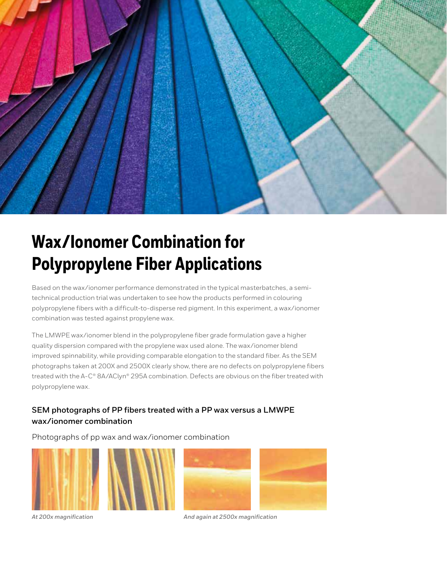

# **Wax/Ionomer Combination for Polypropylene Fiber Applications**

Based on the wax/ionomer performance demonstrated in the typical masterbatches, a semitechnical production trial was undertaken to see how the products performed in colouring polypropylene fibers with a difficult-to-disperse red pigment. In this experiment, a wax/ionomer combination was tested against propylene wax.

The LMWPE wax/ionomer blend in the polypropylene fiber grade formulation gave a higher quality dispersion compared with the propylene wax used alone. The wax/ionomer blend improved spinnability, while providing comparable elongation to the standard fiber. As the SEM photographs taken at 200X and 2500X clearly show, there are no defects on polypropylene fibers treated with the A-C® 8A/AClyn® 295A combination. Defects are obvious on the fiber treated with polypropylene wax.

#### **SEM photographs of PP fibers treated with a PP wax versus a LMWPE wax/ionomer combination**

Photographs of pp wax and wax/ionomer combination









*At 200x magnification And again at 2500x magnification*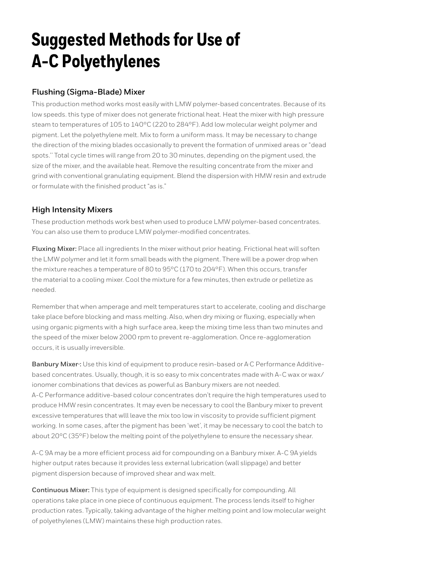# **Suggested Methods for Use of A-C Polyethylenes**

#### **Flushing (Sigma-Blade) Mixer**

This production method works most easily with LMW polymer-based concentrates. Because of its low speeds. this type of mixer does not generate frictional heat. Heat the mixer with high pressure steam to temperatures of 105 to 140°C (220 to 284°F). Add low molecular weight polymer and pigment. Let the polyethylene melt. Mix to form a uniform mass. It may be necessary to change the direction of the mixing blades occasionally to prevent the formation of unmixed areas or "dead spots.'' Total cycle times will range from 20 to 30 minutes, depending on the pigment used, the size of the mixer, and the available heat. Remove the resulting concentrate from the mixer and grind with conventional granulating equipment. Blend the dispersion with HMW resin and extrude or formulate with the finished product "as is."

#### **High Intensity Mixers**

These production methods work best when used to produce LMW polymer-based concentrates. You can also use them to produce LMW polymer-modified concentrates.

**Fluxing Mixer:** Place all ingredients In the mixer without prior heating. Frictional heat will soften the LMW polymer and let it form small beads with the pigment. There will be a power drop when the mixture reaches a temperature of 80 to 95°C (170 to 204°F). When this occurs, transfer the material to a cooling mixer. Cool the mixture for a few minutes, then extrude or pelletize as needed.

Remember that when amperage and melt temperatures start to accelerate, cooling and discharge take place before blocking and mass melting. Also, when dry mixing or fluxing, especially when using organic pigments with a high surface area, keep the mixing time less than two minutes and the speed of the mixer below 2000 rpm to prevent re-agglomeration. Once re-agglomeration occurs, it is usually irreversible.

**Banbury Mixer·:** Use this kind of equipment to produce resin-based or A·C Performance Additivebased concentrates. Usually, though, it is so easy to mix concentrates made with A-C wax or wax/ ionomer combinations that devices as powerful as Banbury mixers are not needed. A-C Performance additive-based colour concentrates don't require the high temperatures used to produce HMW resin concentrates. It may even be necessary to cool the Banbury mixer to prevent excessive temperatures that wlll leave the mix too low in viscosity to provide sufficient pigment working. In some cases, after the pigment has been 'wet', it may be necessary to cool the batch to about 20°C (35°F) below the melting point of the polyethylene to ensure the necessary shear.

A-C 9A may be a more efficient process aid for compounding on a Banbury mixer. A-C 9A yields higher output rates because it provides less external lubrication (wall slippage) and better pigment dispersion because of improved shear and wax melt.

**Continuous Mixer:** This type of equipment is designed specifically for compounding. All operations take place in one piece of continuous equipment. The process lends itself to higher production rates. Typically, taking advantage of the higher melting point and low molecular weight of polyethylenes (LMW) maintains these high production rates.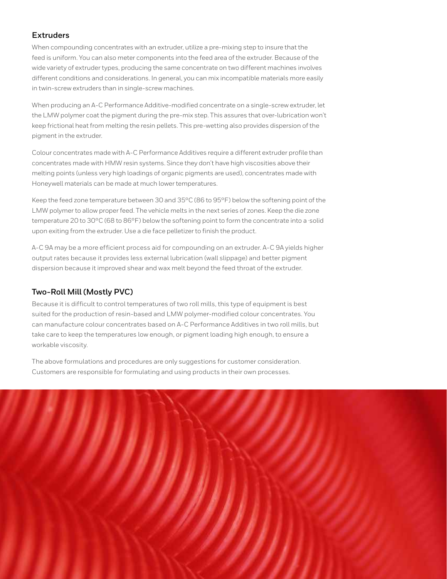#### **Extruders**

When compounding concentrates with an extruder, utilize a pre-mixing step to insure that the feed is uniform. You can also meter components into the feed area of the extruder. Because of the wide variety of extruder types, producing the same concentrate on two different machines involves different conditions and considerations. In general, you can mix incompatible materials more easily in twin-screw extruders than in single-screw machines.

When producing an A-C Performance Additive-modified concentrate on a single-screw extruder, let the LMW polymer coat the pigment during the pre-mix step. This assures that over-lubrication won't keep frictional heat from melting the resin pellets. This pre-wetting also provides dispersion of the pigment in the extruder.

Colour concentrates made with A-C Performance Additives require a different extruder profile than concentrates made with HMW resin systems. Since they don't have high viscosities above their melting points (unless very high loadings of organic pigments are used), concentrates made with Honeywell materials can be made at much lower temperatures.

Keep the feed zone temperature between 30 and 35°C (86 to 95°F) below the softening point of the LMW polymer to allow proper feed. The vehicle melts in the next series of zones. Keep the die zone temperature 20 to 30°C (68 to 86°F) below the softening point to form the concentrate into a ·solid upon exiting from the extruder. Use a die face pelletizer to finish the product.

A-C 9A may be a more efficient process aid for compounding on an extruder. A-C 9A yields higher output rates because it provides less external lubrication (wall slippage) and better pigment dispersion because it improved shear and wax melt beyond the feed throat of the extruder.

#### **Two-Roll Mill (Mostly PVC)**

Because it is difficult to control temperatures of two roll mills, this type of equipment is best suited for the production of resin-based and LMW polymer-modified colour concentrates. You can manufacture colour concentrates based on A-C Performance Additives in two roll mills, but take care to keep the temperatures low enough, or pigment loading high enough, to ensure a workable viscosity.

The above formulations and procedures are only suggestions for customer consideration. Customers are responsible for formulating and using products in their own processes.

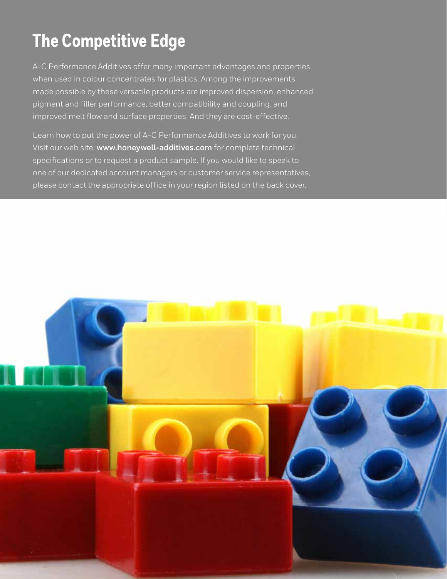# **The Competitive Edge**

A-C Performance Additives offer many important advantages and properties when used in colour concentrates for plastics. Among the improvements made possible by these versatile products are improved dispersion, enhanced pigment and filler performance, better compatibility and coupling, and improved melt flow and surface properties. And they are cost-effective.

Learn how to put the power of A-C Performance Additives to work for you. Visit our web site: **www.honeywell-additives.com** for complete technical specifications or to request a product sample. If you would like to speak to one of our dedicated account managers or customer service representatives, please contact the appropriate office in your region listed on the back cover.